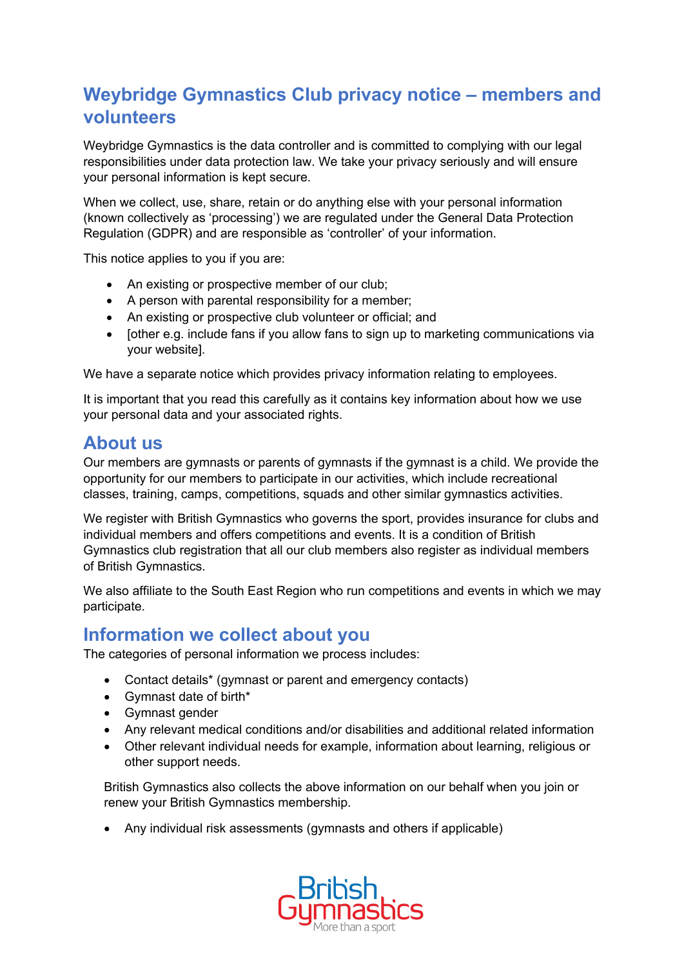# **Weybridge Gymnastics Club privacy notice – members and volunteers**

Weybridge Gymnastics is the data controller and is committed to complying with our legal responsibilities under data protection law. We take your privacy seriously and will ensure your personal information is kept secure.

When we collect, use, share, retain or do anything else with your personal information (known collectively as 'processing') we are regulated under the General Data Protection Regulation (GDPR) and are responsible as 'controller' of your information.

This notice applies to you if you are:

- An existing or prospective member of our club;
- A person with parental responsibility for a member;
- An existing or prospective club volunteer or official; and
- Iother e.g. include fans if you allow fans to sign up to marketing communications via your website].

We have a separate notice which provides privacy information relating to employees.

It is important that you read this carefully as it contains key information about how we use your personal data and your associated rights.

# **About us**

Our members are gymnasts or parents of gymnasts if the gymnast is a child. We provide the opportunity for our members to participate in our activities, which include recreational classes, training, camps, competitions, squads and other similar gymnastics activities.

We register with British Gymnastics who governs the sport, provides insurance for clubs and individual members and offers competitions and events. It is a condition of British Gymnastics club registration that all our club members also register as individual members of British Gymnastics.

We also affiliate to the South East Region who run competitions and events in which we may participate.

## **Information we collect about you**

The categories of personal information we process includes:

- Contact details\* (gymnast or parent and emergency contacts)
- Gymnast date of birth\*
- Gymnast gender
- Any relevant medical conditions and/or disabilities and additional related information
- Other relevant individual needs for example, information about learning, religious or other support needs.

British Gymnastics also collects the above information on our behalf when you join or renew your British Gymnastics membership.

• Any individual risk assessments (gymnasts and others if applicable)

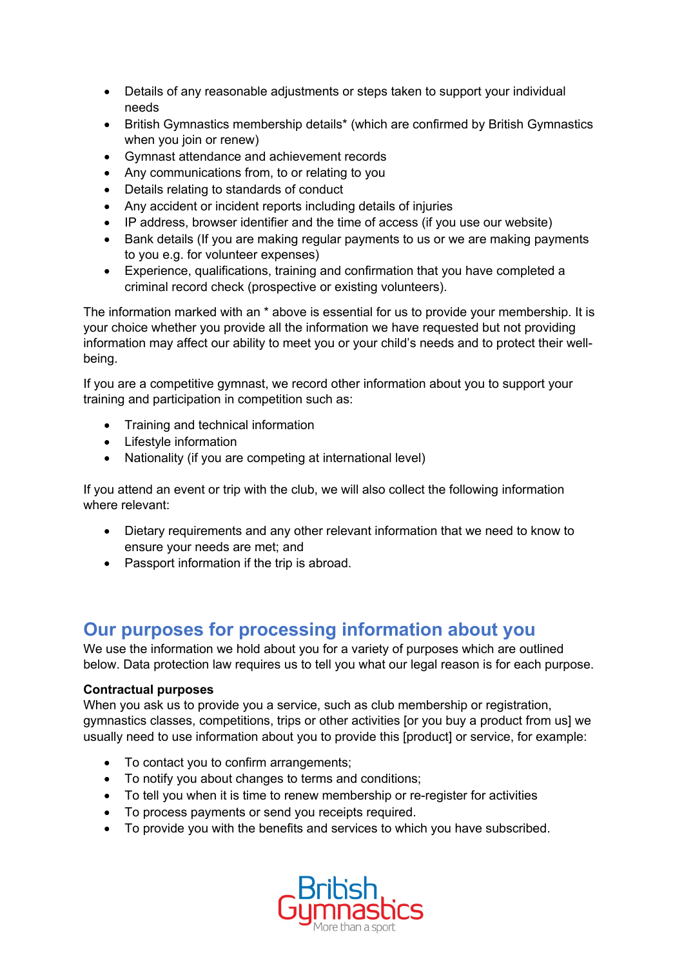- Details of any reasonable adjustments or steps taken to support your individual needs
- British Gymnastics membership details\* (which are confirmed by British Gymnastics when you join or renew)
- Gymnast attendance and achievement records
- Any communications from, to or relating to you
- Details relating to standards of conduct
- Any accident or incident reports including details of injuries
- IP address, browser identifier and the time of access (if you use our website)
- Bank details (If you are making regular payments to us or we are making payments to you e.g. for volunteer expenses)
- Experience, qualifications, training and confirmation that you have completed a criminal record check (prospective or existing volunteers).

The information marked with an \* above is essential for us to provide your membership. It is your choice whether you provide all the information we have requested but not providing information may affect our ability to meet you or your child's needs and to protect their wellbeing.

If you are a competitive gymnast, we record other information about you to support your training and participation in competition such as:

- Training and technical information
- Lifestyle information
- Nationality (if you are competing at international level)

If you attend an event or trip with the club, we will also collect the following information where relevant:

- Dietary requirements and any other relevant information that we need to know to ensure your needs are met; and
- Passport information if the trip is abroad.

## **Our purposes for processing information about you**

We use the information we hold about you for a variety of purposes which are outlined below. Data protection law requires us to tell you what our legal reason is for each purpose.

### **Contractual purposes**

When you ask us to provide you a service, such as club membership or registration, gymnastics classes, competitions, trips or other activities [or you buy a product from us] we usually need to use information about you to provide this [product] or service, for example:

- To contact you to confirm arrangements;
- To notify you about changes to terms and conditions;
- To tell you when it is time to renew membership or re-register for activities
- To process payments or send you receipts required.
- To provide you with the benefits and services to which you have subscribed.

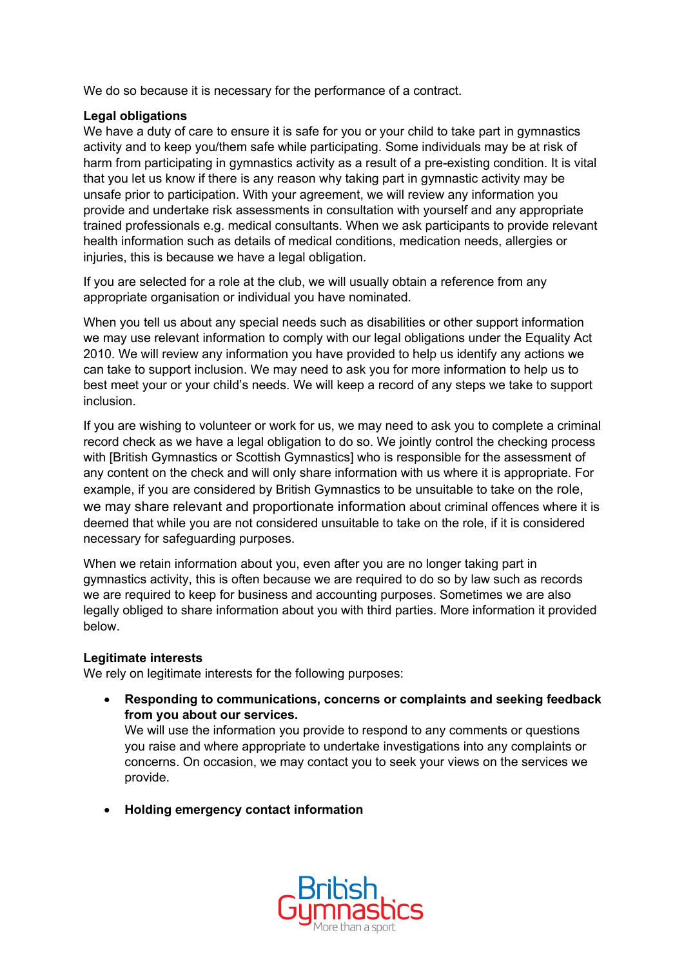We do so because it is necessary for the performance of a contract.

### **Legal obligations**

We have a duty of care to ensure it is safe for you or your child to take part in gymnastics activity and to keep you/them safe while participating. Some individuals may be at risk of harm from participating in gymnastics activity as a result of a pre-existing condition. It is vital that you let us know if there is any reason why taking part in gymnastic activity may be unsafe prior to participation. With your agreement, we will review any information you provide and undertake risk assessments in consultation with yourself and any appropriate trained professionals e.g. medical consultants. When we ask participants to provide relevant health information such as details of medical conditions, medication needs, allergies or injuries, this is because we have a legal obligation.

If you are selected for a role at the club, we will usually obtain a reference from any appropriate organisation or individual you have nominated.

When you tell us about any special needs such as disabilities or other support information we may use relevant information to comply with our legal obligations under the Equality Act 2010. We will review any information you have provided to help us identify any actions we can take to support inclusion. We may need to ask you for more information to help us to best meet your or your child's needs. We will keep a record of any steps we take to support inclusion.

If you are wishing to volunteer or work for us, we may need to ask you to complete a criminal record check as we have a legal obligation to do so. We jointly control the checking process with [British Gymnastics or Scottish Gymnastics] who is responsible for the assessment of any content on the check and will only share information with us where it is appropriate. For example, if you are considered by British Gymnastics to be unsuitable to take on the role, we may share relevant and proportionate information about criminal offences where it is deemed that while you are not considered unsuitable to take on the role, if it is considered necessary for safeguarding purposes.

When we retain information about you, even after you are no longer taking part in gymnastics activity, this is often because we are required to do so by law such as records we are required to keep for business and accounting purposes. Sometimes we are also legally obliged to share information about you with third parties. More information it provided below.

#### **Legitimate interests**

We rely on legitimate interests for the following purposes:

• **Responding to communications, concerns or complaints and seeking feedback from you about our services.**

We will use the information you provide to respond to any comments or questions you raise and where appropriate to undertake investigations into any complaints or concerns. On occasion, we may contact you to seek your views on the services we provide.

• **Holding emergency contact information**

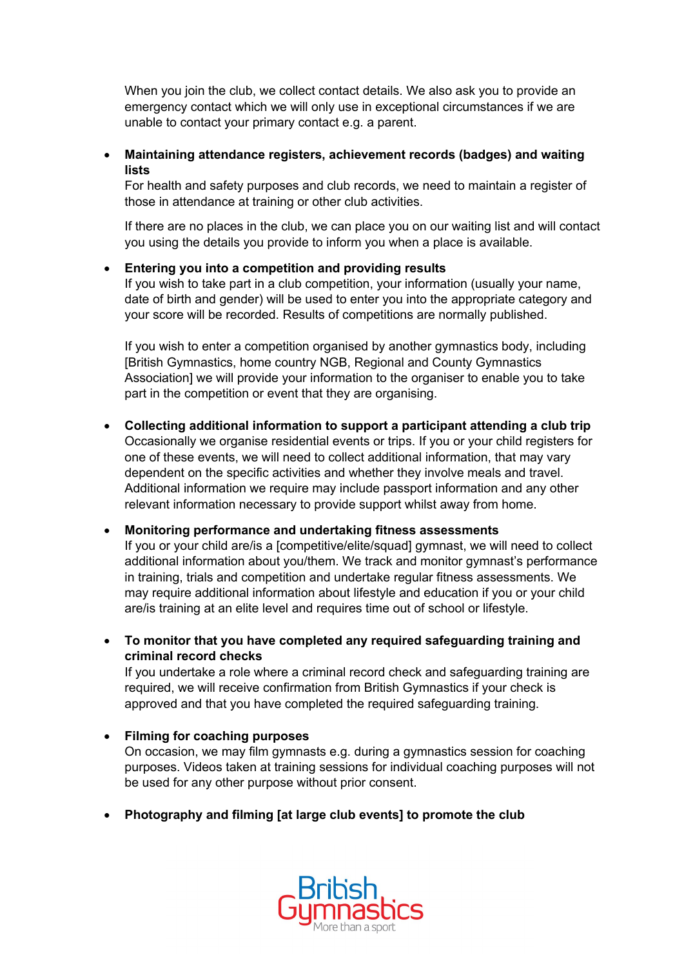When you join the club, we collect contact details. We also ask you to provide an emergency contact which we will only use in exceptional circumstances if we are unable to contact your primary contact e.g. a parent.

### • **Maintaining attendance registers, achievement records (badges) and waiting lists**

For health and safety purposes and club records, we need to maintain a register of those in attendance at training or other club activities.

If there are no places in the club, we can place you on our waiting list and will contact you using the details you provide to inform you when a place is available.

### • **Entering you into a competition and providing results**

If you wish to take part in a club competition, your information (usually your name, date of birth and gender) will be used to enter you into the appropriate category and your score will be recorded. Results of competitions are normally published.

If you wish to enter a competition organised by another gymnastics body, including [British Gymnastics, home country NGB, Regional and County Gymnastics Association] we will provide your information to the organiser to enable you to take part in the competition or event that they are organising.

• **Collecting additional information to support a participant attending a club trip** Occasionally we organise residential events or trips. If you or your child registers for one of these events, we will need to collect additional information, that may vary dependent on the specific activities and whether they involve meals and travel. Additional information we require may include passport information and any other relevant information necessary to provide support whilst away from home.

### • **Monitoring performance and undertaking fitness assessments**

If you or your child are/is a [competitive/elite/squad] gymnast, we will need to collect additional information about you/them. We track and monitor gymnast's performance in training, trials and competition and undertake regular fitness assessments. We may require additional information about lifestyle and education if you or your child are/is training at an elite level and requires time out of school or lifestyle.

• **To monitor that you have completed any required safeguarding training and criminal record checks**

If you undertake a role where a criminal record check and safeguarding training are required, we will receive confirmation from British Gymnastics if your check is approved and that you have completed the required safeguarding training.

### • **Filming for coaching purposes**

On occasion, we may film gymnasts e.g. during a gymnastics session for coaching purposes. Videos taken at training sessions for individual coaching purposes will not be used for any other purpose without prior consent.

• **Photography and filming [at large club events] to promote the club**

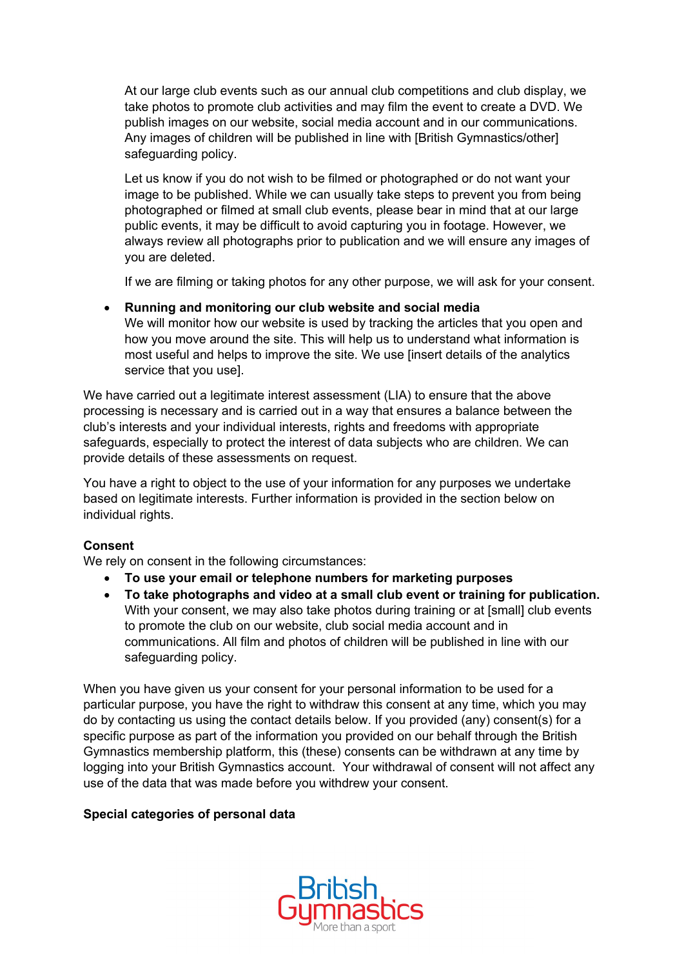At our large club events such as our annual club competitions and club display, we take photos to promote club activities and may film the event to create a DVD. We publish images on our website, social media account and in our communications. Any images of children will be published in line with [British Gymnastics/other] safeguarding policy.

Let us know if you do not wish to be filmed or photographed or do not want your image to be published. While we can usually take steps to prevent you from being photographed or filmed at small club events, please bear in mind that at our large public events, it may be difficult to avoid capturing you in footage. However, we always review all photographs prior to publication and we will ensure any images of you are deleted.

If we are filming or taking photos for any other purpose, we will ask for your consent.

• **Running and monitoring our club website and social media** We will monitor how our website is used by tracking the articles that you open and how you move around the site. This will help us to understand what information is most useful and helps to improve the site. We use [insert details of the analytics service that you use].

We have carried out a legitimate interest assessment (LIA) to ensure that the above processing is necessary and is carried out in a way that ensures a balance between the club's interests and your individual interests, rights and freedoms with appropriate safeguards, especially to protect the interest of data subjects who are children. We can provide details of these assessments on request.

You have a right to object to the use of your information for any purposes we undertake based on legitimate interests. Further information is provided in the section below on individual rights.

## **Consent**

We rely on consent in the following circumstances:

- **To use your email or telephone numbers for marketing purposes**
- **To take photographs and video at a small club event or training for publication.** With your consent, we may also take photos during training or at [small] club events to promote the club on our website, club social media account and in communications. All film and photos of children will be published in line with our safeguarding policy.

When you have given us your consent for your personal information to be used for a particular purpose, you have the right to withdraw this consent at any time, which you may do by contacting us using the contact details below. If you provided (any) consent(s) for a specific purpose as part of the information you provided on our behalf through the British Gymnastics membership platform, this (these) consents can be withdrawn at any time by logging into your British Gymnastics account. Your withdrawal of consent will not affect any use of the data that was made before you withdrew your consent.

### **Special categories of personal data**

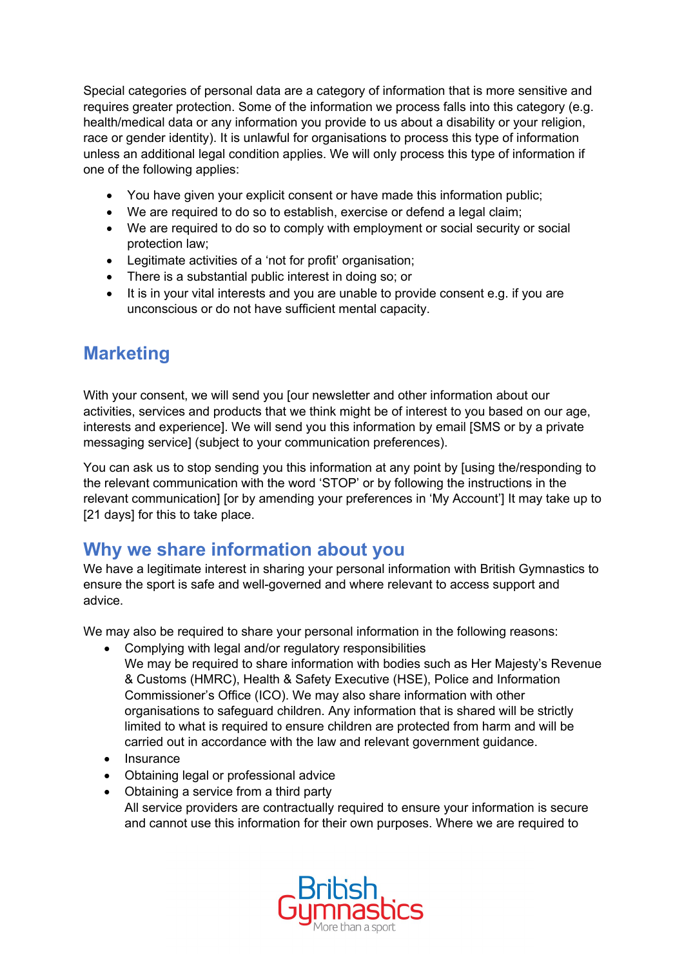Special categories of personal data are a category of information that is more sensitive and requires greater protection. Some of the information we process falls into this category (e.g. health/medical data or any information you provide to us about a disability or your religion, race or gender identity). It is unlawful for organisations to process this type of information unless an additional legal condition applies. We will only process this type of information if one of the following applies:

- You have given your explicit consent or have made this information public;
- We are required to do so to establish, exercise or defend a legal claim;
- We are required to do so to comply with employment or social security or social protection law;
- Legitimate activities of a 'not for profit' organisation;
- There is a substantial public interest in doing so; or
- It is in your vital interests and you are unable to provide consent e.g. if you are unconscious or do not have sufficient mental capacity.

# **Marketing**

With your consent, we will send you [our newsletter and other information about our activities, services and products that we think might be of interest to you based on our age, interests and experience]. We will send you this information by email [SMS or by a private messaging service] (subject to your communication preferences).

You can ask us to stop sending you this information at any point by [using the/responding to the relevant communication with the word 'STOP' or by following the instructions in the relevant communication] [or by amending your preferences in 'My Account'] It may take up to [21 days] for this to take place.

# **Why we share information about you**

We have a legitimate interest in sharing your personal information with British Gymnastics to ensure the sport is safe and well-governed and where relevant to access support and advice.

We may also be required to share your personal information in the following reasons:

- Complying with legal and/or regulatory responsibilities
- We may be required to share information with bodies such as Her Majesty's Revenue & Customs (HMRC), Health & Safety Executive (HSE), Police and Information Commissioner's Office (ICO). We may also share information with other organisations to safeguard children. Any information that is shared will be strictly limited to what is required to ensure children are protected from harm and will be carried out in accordance with the law and relevant government guidance.
- Insurance
- Obtaining legal or professional advice
- Obtaining a service from a third party All service providers are contractually required to ensure your information is secure and cannot use this information for their own purposes. Where we are required to

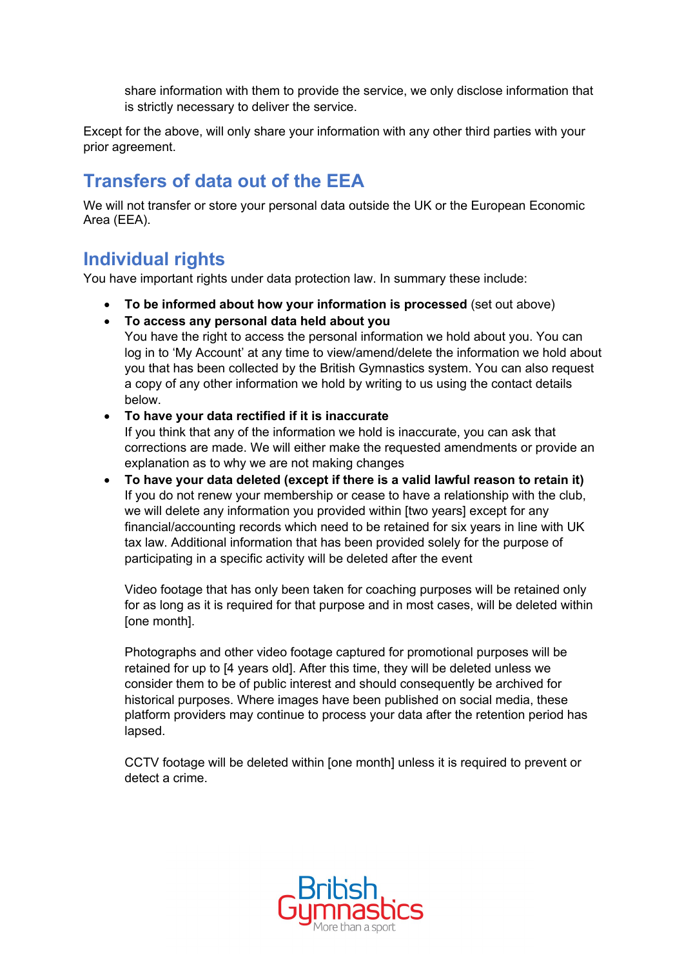share information with them to provide the service, we only disclose information that is strictly necessary to deliver the service.

Except for the above, will only share your information with any other third parties with your prior agreement.

# **Transfers of data out of the EEA**

We will not transfer or store your personal data outside the UK or the European Economic Area (EEA).

# **Individual rights**

You have important rights under data protection law. In summary these include:

- **To be informed about how your information is processed** (set out above)
- **To access any personal data held about you**

You have the right to access the personal information we hold about you. You can log in to 'My Account' at any time to view/amend/delete the information we hold about you that has been collected by the British Gymnastics system. You can also request a copy of any other information we hold by writing to us using the contact details below.

## • **To have your data rectified if it is inaccurate**

If you think that any of the information we hold is inaccurate, you can ask that corrections are made. We will either make the requested amendments or provide an explanation as to why we are not making changes

• **To have your data deleted (except if there is a valid lawful reason to retain it)** If you do not renew your membership or cease to have a relationship with the club, we will delete any information you provided within [two years] except for any financial/accounting records which need to be retained for six years in line with UK tax law. Additional information that has been provided solely for the purpose of participating in a specific activity will be deleted after the event

Video footage that has only been taken for coaching purposes will be retained only for as long as it is required for that purpose and in most cases, will be deleted within [one month].

Photographs and other video footage captured for promotional purposes will be retained for up to [4 years old]. After this time, they will be deleted unless we consider them to be of public interest and should consequently be archived for historical purposes. Where images have been published on social media, these platform providers may continue to process your data after the retention period has lapsed.

CCTV footage will be deleted within [one month] unless it is required to prevent or detect a crime.

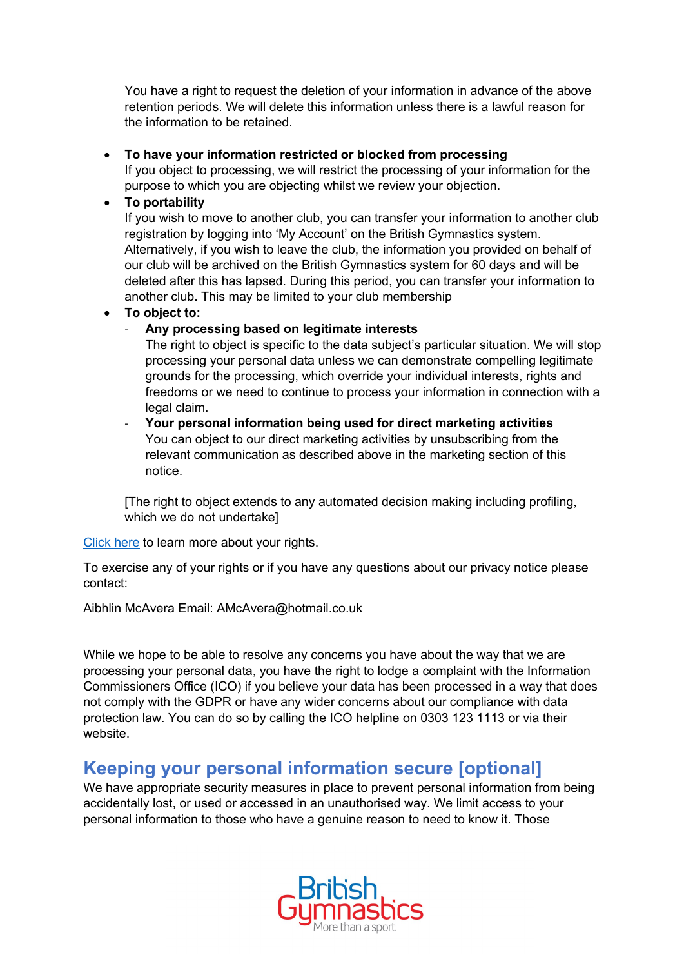You have a right to request the deletion of your information in advance of the above retention periods. We will delete this information unless there is a lawful reason for the information to be retained.

## • **To have your information restricted or blocked from processing**

If you object to processing, we will restrict the processing of your information for the purpose to which you are objecting whilst we review your objection.

## • **To portability**

If you wish to move to another club, you can transfer your information to another club registration by logging into 'My Account' on the British Gymnastics system. Alternatively, if you wish to leave the club, the information you provided on behalf of our club will be archived on the British Gymnastics system for 60 days and will be deleted after this has lapsed. During this period, you can transfer your information to another club. This may be limited to your club membership

## • **To object to:**

## - **Any processing based on legitimate interests**

The right to object is specific to the data subject's particular situation. We will stop processing your personal data unless we can demonstrate compelling legitimate grounds for the processing, which override your individual interests, rights and freedoms or we need to continue to process your information in connection with a legal claim.

- **Your personal information being used for direct marketing activities**  You can object to our direct marketing activities by unsubscribing from the relevant communication as described above in the marketing section of this notice.

[The right to object extends to any automated decision making including profiling, which we do not undertake]

Click here to learn more about your rights.

To exercise any of your rights or if you have any questions about our privacy notice please contact:

Aibhlin McAvera Email: AMcAvera@hotmail.co.uk

While we hope to be able to resolve any concerns you have about the way that we are processing your personal data, you have the right to lodge a complaint with the Information Commissioners Office (ICO) if you believe your data has been processed in a way that does not comply with the GDPR or have any wider concerns about our compliance with data protection law. You can do so by calling the ICO helpline on 0303 123 1113 or via their website.

## **Keeping your personal information secure [optional]**

We have appropriate security measures in place to prevent personal information from being accidentally lost, or used or accessed in an unauthorised way. We limit access to your personal information to those who have a genuine reason to need to know it. Those